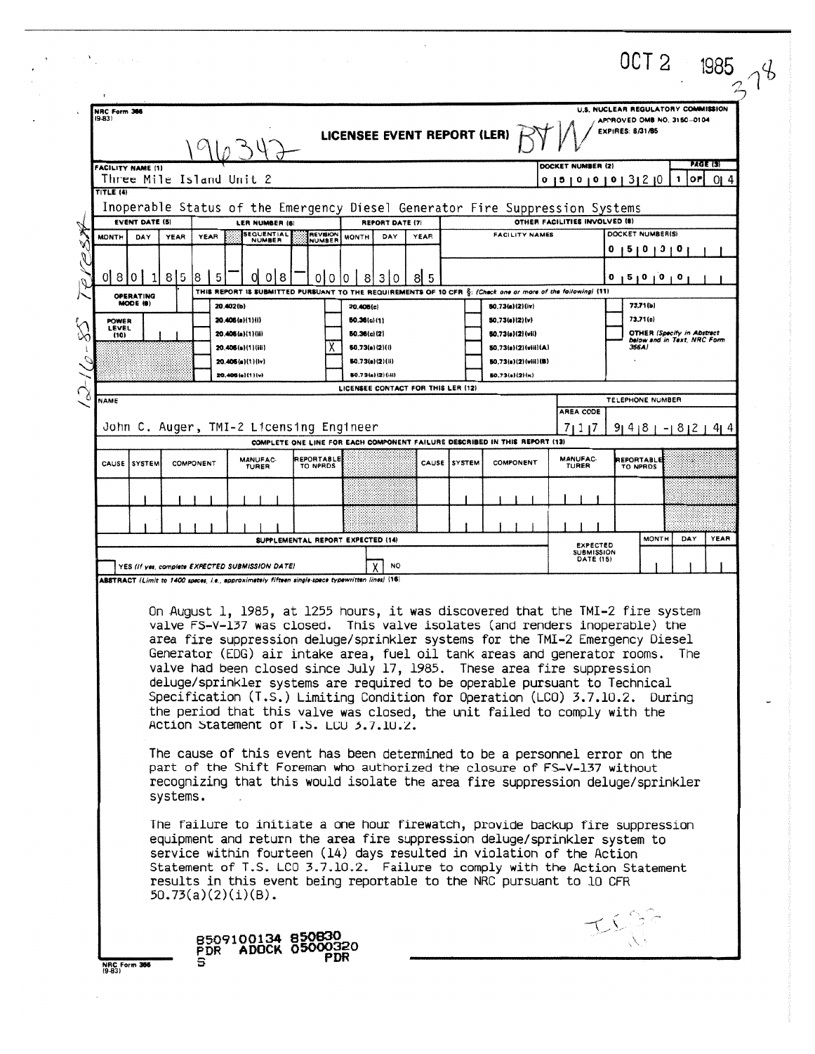| $(9-83)$                      | NRC Form 366                                                                                          |           |                                                                                                                     |                                   |                                                        |      |                     |                                                                                                              |                                      | U.S. NUCLEAR REGULATORY COMMISSION                                                                                                                             |                   |
|-------------------------------|-------------------------------------------------------------------------------------------------------|-----------|---------------------------------------------------------------------------------------------------------------------|-----------------------------------|--------------------------------------------------------|------|---------------------|--------------------------------------------------------------------------------------------------------------|--------------------------------------|----------------------------------------------------------------------------------------------------------------------------------------------------------------|-------------------|
|                               |                                                                                                       |           |                                                                                                                     |                                   |                                                        |      |                     |                                                                                                              |                                      | APPROVED OMB NO. 3150-0104<br>EXPIRES: 8/31/85                                                                                                                 |                   |
|                               |                                                                                                       |           |                                                                                                                     |                                   | LICENSEE EVENT REPORT (LER)                            |      |                     |                                                                                                              |                                      |                                                                                                                                                                |                   |
|                               | <b>FACILITY NAME (1)</b>                                                                              |           |                                                                                                                     |                                   |                                                        |      |                     |                                                                                                              | DOCKET NUMBER (2)                    |                                                                                                                                                                | <b>PAGE (3)</b>   |
|                               | Three Mile Island Unit 2                                                                              |           |                                                                                                                     |                                   |                                                        |      |                     |                                                                                                              |                                      | 0   5   0   0   0   3   2   0<br>1                                                                                                                             | <b>OF</b><br>OI 4 |
| TITLE (4)                     |                                                                                                       |           |                                                                                                                     |                                   |                                                        |      |                     |                                                                                                              |                                      |                                                                                                                                                                |                   |
|                               | Inoperable Status of the Emergency Diesel Generator Fire Suppression Systems<br><b>EVENT DATE (5)</b> |           | LER NUMBER (6)                                                                                                      |                                   | <b>REPORT DATE (7)</b>                                 |      |                     |                                                                                                              | OTHER FACILITIES INVOLVED (8)        |                                                                                                                                                                |                   |
| <b>MONTH</b>                  | YEAR<br>DAY                                                                                           | YEAR      | <b>SEQUENTIAL</b><br><b>NUMBER</b>                                                                                  | REVISION<br><b>NUMBER</b>         | DAY<br><b>MONTH</b>                                    | YEAR |                     | <b>FACILITY NAMES</b>                                                                                        |                                      | DOCKET NUMBER(S)                                                                                                                                               |                   |
|                               |                                                                                                       |           |                                                                                                                     |                                   |                                                        |      |                     |                                                                                                              |                                      | 0 12 10 10 10                                                                                                                                                  |                   |
| 0 <sub>8</sub>                | 8 5 8<br>$\mathbf{0}$                                                                                 |           | 0 8                                                                                                                 | 0<br>0<br>10                      | 310<br>8                                               | 8 5  |                     |                                                                                                              |                                      | 0 1 2 1 0 1 0 1 0                                                                                                                                              |                   |
|                               | <b>OPERATING</b>                                                                                      |           |                                                                                                                     |                                   |                                                        |      |                     | THIS REPORT IS SUBMITTED PURSUANT TO THE REQUIREMENTS OF 10 CFR §: (Check one or more of the following) (11) |                                      |                                                                                                                                                                |                   |
|                               | MODE (9)                                                                                              |           | 20.402(b)                                                                                                           |                                   | 20.405(c)                                              |      |                     | 50.73(a)(2)(iv)                                                                                              |                                      | 73,71(b)<br>73,71(c)                                                                                                                                           |                   |
| <b>POWER</b><br>LEVEL<br>(10) |                                                                                                       |           | 20.406(a)(1)(i)<br>20.406(a)(1)(ii)                                                                                 |                                   | 50.36(c)(1)<br>50.36(c)(2)                             |      |                     | 50.73(a)(2)(v)<br>50.73(a)(2)(vii)                                                                           |                                      | <b>OTHER (Specify in Abstract</b>                                                                                                                              |                   |
|                               |                                                                                                       |           | 20.406(a)(1)(iii)                                                                                                   |                                   | 60.73(a)(2)(i)                                         |      |                     | 50.73(a)(2)(viii)(A)                                                                                         |                                      | below and in Text, NRC Form<br>366A)                                                                                                                           |                   |
|                               |                                                                                                       |           | 20.405(a)(1)(iv)                                                                                                    |                                   | <b>50.73(e)(2)(ii)</b>                                 |      |                     | 50.73(a)(2)(viii)(B)<br>SO.73(a)(2)(x)                                                                       |                                      |                                                                                                                                                                |                   |
|                               |                                                                                                       |           | 20.405(a)(1)(v)                                                                                                     |                                   | 50.73(a)(2)(iii)<br>LICENSEE CONTACT FOR THIS LER (12) |      |                     |                                                                                                              |                                      |                                                                                                                                                                |                   |
| <b>NAME</b>                   |                                                                                                       |           |                                                                                                                     |                                   |                                                        |      |                     |                                                                                                              | <b>AREA CODE</b>                     | TELEPHONE NUMBER                                                                                                                                               |                   |
|                               | John C. Auger, TMI-2 Licensing Engineer                                                               |           |                                                                                                                     |                                   |                                                        |      |                     |                                                                                                              | 7117                                 | $914181 - 8121414$                                                                                                                                             |                   |
|                               |                                                                                                       |           |                                                                                                                     |                                   |                                                        |      |                     | COMPLETE ONE LINE FOR EACH COMPONENT FAILURE DESCRIBED IN THIS REPORT (13)                                   |                                      |                                                                                                                                                                |                   |
| CAUSE                         | SYSTEM                                                                                                | COMPONENT | MANUFAC-<br>TURER                                                                                                   | <b>REPORTABLE</b><br>TO NPRDS     |                                                        |      | CAUSE <i>SYSTEM</i> | COMPONENT                                                                                                    | <b>MANUFAC-</b><br>TURER             | <b>REPORTABLE</b><br>TO NPRDS                                                                                                                                  |                   |
|                               |                                                                                                       |           |                                                                                                                     |                                   |                                                        |      |                     |                                                                                                              |                                      |                                                                                                                                                                |                   |
|                               |                                                                                                       |           |                                                                                                                     |                                   |                                                        |      |                     |                                                                                                              |                                      |                                                                                                                                                                |                   |
|                               |                                                                                                       |           |                                                                                                                     | SUPPLEMENTAL REPORT EXPECTED (14) |                                                        |      |                     |                                                                                                              |                                      | <b>MONTH</b>                                                                                                                                                   | YEAR<br>DAY       |
|                               |                                                                                                       |           |                                                                                                                     |                                   |                                                        |      |                     |                                                                                                              | <b>EXPECTED</b><br><b>SUBMISSION</b> |                                                                                                                                                                |                   |
|                               | YES (If yes, complete EXPECTED SUBMISSION DATE)                                                       |           |                                                                                                                     |                                   | <b>NO</b>                                              |      |                     |                                                                                                              | DATE (15)                            |                                                                                                                                                                |                   |
|                               | ABSTRACT (Limit to 1400 spaces, i.e., approximately fifteen single-space typewritten lines) (16)      |           |                                                                                                                     |                                   |                                                        |      |                     |                                                                                                              |                                      |                                                                                                                                                                |                   |
|                               |                                                                                                       |           |                                                                                                                     |                                   |                                                        |      |                     |                                                                                                              |                                      | On August 1, 1985, at 1255 hours, it was discovered that the TMI-2 fire system                                                                                 |                   |
|                               |                                                                                                       |           |                                                                                                                     |                                   |                                                        |      |                     |                                                                                                              |                                      | valve FS-V-137 was closed. This valve isolates (and renders inoperable) the                                                                                    |                   |
|                               |                                                                                                       |           |                                                                                                                     |                                   |                                                        |      |                     |                                                                                                              |                                      | area fire suppression deluge/sprinkler systems for the TMI-2 Emergency Diesel<br>Generator (EDG) air intake area, fuel oil tank areas and generator rooms. The |                   |
|                               |                                                                                                       |           |                                                                                                                     |                                   |                                                        |      |                     | valve had been closed since July 17, 1985. These area fire suppression                                       |                                      |                                                                                                                                                                |                   |
|                               |                                                                                                       |           |                                                                                                                     |                                   |                                                        |      |                     |                                                                                                              |                                      | deluge/sprinkler systems are required to be operable pursuant to Technical                                                                                     |                   |
|                               |                                                                                                       |           |                                                                                                                     |                                   |                                                        |      |                     |                                                                                                              |                                      | Specification (T.S.) Limiting Condition for Operation (LCO) 3.7.10.2. During                                                                                   |                   |
|                               |                                                                                                       |           |                                                                                                                     |                                   |                                                        |      |                     |                                                                                                              |                                      |                                                                                                                                                                |                   |
|                               |                                                                                                       |           | the period that this valve was closed, the unit failed to comply with the<br>Action Statement of T.S. LCU 3.7.10.2. |                                   |                                                        |      |                     |                                                                                                              |                                      |                                                                                                                                                                |                   |
|                               |                                                                                                       |           |                                                                                                                     |                                   |                                                        |      |                     |                                                                                                              |                                      |                                                                                                                                                                |                   |
|                               |                                                                                                       |           |                                                                                                                     |                                   |                                                        |      |                     |                                                                                                              |                                      | The cause of this event has been determined to be a personnel error on the                                                                                     |                   |
|                               |                                                                                                       |           |                                                                                                                     |                                   |                                                        |      |                     | part of the Shift Foreman who authorized the closure of FS-V-137 without                                     |                                      |                                                                                                                                                                |                   |
|                               | systems.                                                                                              |           |                                                                                                                     |                                   |                                                        |      |                     |                                                                                                              |                                      | recognizing that this would isolate the area fire suppression deluge/sprinkler                                                                                 |                   |
|                               |                                                                                                       |           |                                                                                                                     |                                   |                                                        |      |                     |                                                                                                              |                                      |                                                                                                                                                                |                   |
|                               |                                                                                                       |           |                                                                                                                     |                                   |                                                        |      |                     | equipment and return the area fire suppression deluge/sprinkler system to                                    |                                      | The failure to initiate a one hour firewatch, provide backup fire suppression                                                                                  |                   |
|                               |                                                                                                       |           |                                                                                                                     |                                   |                                                        |      |                     | service within fourteen (14) days resulted in violation of the Action                                        |                                      |                                                                                                                                                                |                   |
|                               |                                                                                                       |           |                                                                                                                     |                                   |                                                        |      |                     |                                                                                                              |                                      | Statement of T.S. LCO 3.7.10.2. Failure to comply with the Action Statement                                                                                    |                   |
|                               |                                                                                                       |           |                                                                                                                     |                                   |                                                        |      |                     | results in this event being reportable to the NRC pursuant to 10 CFR                                         |                                      |                                                                                                                                                                |                   |
|                               |                                                                                                       |           | $50.73(a)(2)(i)(B)$ .                                                                                               |                                   |                                                        |      |                     |                                                                                                              |                                      |                                                                                                                                                                |                   |
|                               |                                                                                                       |           | 8509100134 850830                                                                                                   |                                   |                                                        |      |                     |                                                                                                              |                                      |                                                                                                                                                                |                   |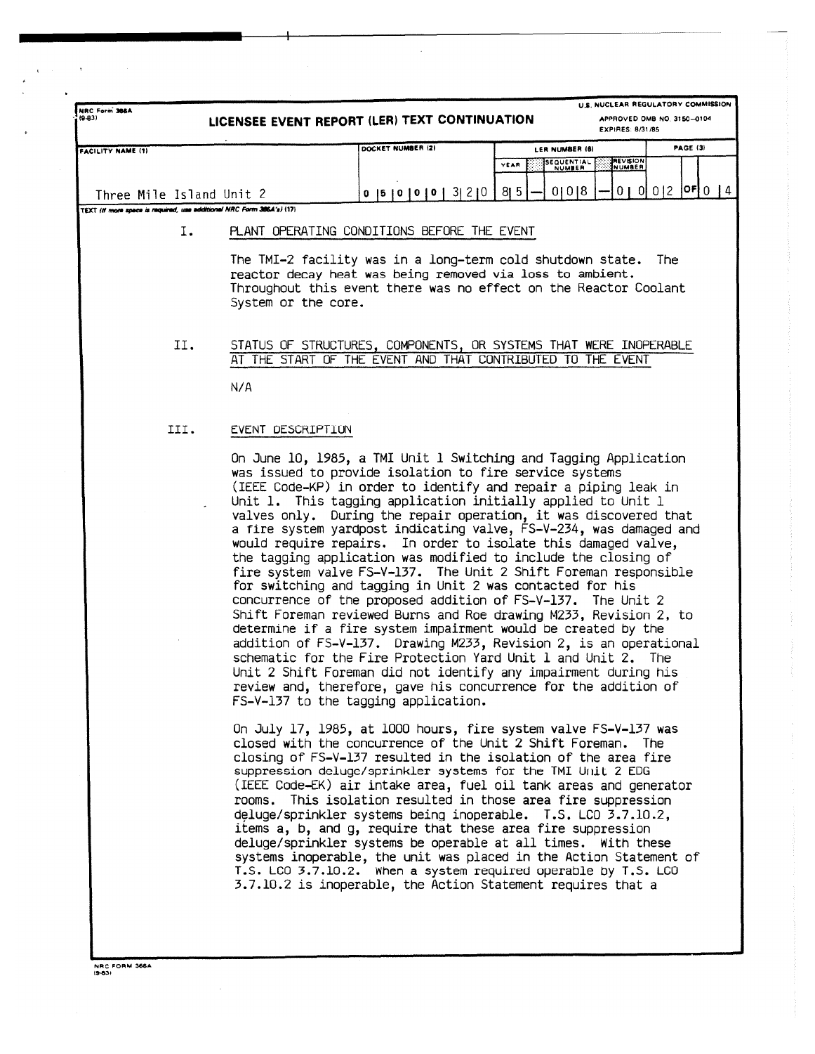| $(9-03)$                 |                                                                        | LICENSEE EVENT REPORT (LER) TEXT CONTINUATION                                                                                                                                                                                                                                                                                                                                                                                                                                                                                                                                                                                                                                                                                                                                                                                                                                                                                                                                                                                                                                                                                                                                                           |                                      | U.S. NUCLEAR REGULATORY COMMISSION<br>APPROVED OMB NO. 3150-0104<br><b>EXPIRES: 8/31/85</b> |
|--------------------------|------------------------------------------------------------------------|---------------------------------------------------------------------------------------------------------------------------------------------------------------------------------------------------------------------------------------------------------------------------------------------------------------------------------------------------------------------------------------------------------------------------------------------------------------------------------------------------------------------------------------------------------------------------------------------------------------------------------------------------------------------------------------------------------------------------------------------------------------------------------------------------------------------------------------------------------------------------------------------------------------------------------------------------------------------------------------------------------------------------------------------------------------------------------------------------------------------------------------------------------------------------------------------------------|--------------------------------------|---------------------------------------------------------------------------------------------|
| <b>FACILITY NAME (1)</b> |                                                                        | DOCKET NUMBER (2)                                                                                                                                                                                                                                                                                                                                                                                                                                                                                                                                                                                                                                                                                                                                                                                                                                                                                                                                                                                                                                                                                                                                                                                       | LER NUMBER (6)<br>SEQUENTIAL<br>YEAR | <b>PAGE (3)</b><br><b>REVISION</b><br>NUMBER                                                |
| Three Mile Island Unit 2 |                                                                        | 0  5  0  0  0  3  2  0                                                                                                                                                                                                                                                                                                                                                                                                                                                                                                                                                                                                                                                                                                                                                                                                                                                                                                                                                                                                                                                                                                                                                                                  | 0 0 8<br>$8 \mid 5$                  | $0   0   0   2   0$ $0   4$                                                                 |
|                          | TEXT (if more space is required, use additional NRC Form 386.4's) (17) |                                                                                                                                                                                                                                                                                                                                                                                                                                                                                                                                                                                                                                                                                                                                                                                                                                                                                                                                                                                                                                                                                                                                                                                                         |                                      |                                                                                             |
|                          | Ι.<br>System or the core.                                              | PLANT OPERATING CONDITIONS BEFORE THE EVENT<br>The TMI-2 facility was in a long-term cold shutdown state. The<br>reactor decay heat was being removed via loss to ambient.<br>Throughout this event there was no effect on the Reactor Coolant                                                                                                                                                                                                                                                                                                                                                                                                                                                                                                                                                                                                                                                                                                                                                                                                                                                                                                                                                          |                                      |                                                                                             |
| II.                      | N/A                                                                    | STATUS OF STRUCTURES, COMPONENTS, OR SYSTEMS THAT WERE INOPERABLE<br>AT THE START OF THE EVENT AND THAT CONTRIBUTED TO THE EVENT                                                                                                                                                                                                                                                                                                                                                                                                                                                                                                                                                                                                                                                                                                                                                                                                                                                                                                                                                                                                                                                                        |                                      |                                                                                             |
| III.                     | EVENT DESCRIPTION                                                      |                                                                                                                                                                                                                                                                                                                                                                                                                                                                                                                                                                                                                                                                                                                                                                                                                                                                                                                                                                                                                                                                                                                                                                                                         |                                      |                                                                                             |
|                          |                                                                        | On June 10, 1985, a TMI Unit 1 Switching and Tagging Application<br>was issued to provide isolation to fire service systems<br>(IEEE Code-KP) in order to identify and repair a piping leak in<br>Unit 1. This tagging application initially applied to Unit 1<br>valves only. During the repair operation, it was discovered that<br>a fire system yardpost indicating valve, FS-V-234, was damaged and<br>would require repairs. In order to isolate this damaged valve,<br>the tagging application was modified to include the closing of<br>fire system valve FS-V-137. The Unit 2 Shift Foreman responsible<br>for switching and tagging in Unit 2 was contacted for his<br>concurrence of the proposed addition of FS-V-137. The Unit 2<br>Shift Foreman reviewed Burns and Roe drawing M233, Revision 2, to<br>determine if a fire system impairment would be created by the<br>addition of FS-V-137. Drawing M233, Revision 2, is an operational<br>schematic for the Fire Protection Yard Unit 1 and Unit 2. The<br>Unit 2 Shift Foreman did not identify any impairment during his<br>review and, therefore, gave his concurrence for the addition of<br>FS-V-137 to the tagging application. |                                      |                                                                                             |
|                          |                                                                        | On July 17, 1985, at 1000 hours, fire system valve FS-V-137 was<br>closed with the concurrence of the Unit 2 Shift Foreman. The<br>closing of FS-V-137 resulted in the isolation of the area fire<br>suppression deluge/sprinkler systems for the TMI Unit 2 EDG<br>(IEEE Code-EK) air intake area, fuel oil tank areas and generator<br>rooms. This isolation resulted in those area fire suppression<br>deluge/sprinkler systems being inoperable. T.S. LCO 3.7.10.2,<br>items a, b, and g, require that these area fire suppression<br>deluge/sprinkler systems be operable at all times. With these<br>systems inoperable, the unit was placed in the Action Statement of<br>T.S. LCO 3.7.10.2. When a system required operable by T.S. LCO<br>3.7.10.2 is inoperable, the Action Statement requires that a                                                                                                                                                                                                                                                                                                                                                                                         |                                      |                                                                                             |

**NRC FORM 368A 18031**

 $\hat{\rho}$  and  $\hat{\sigma}$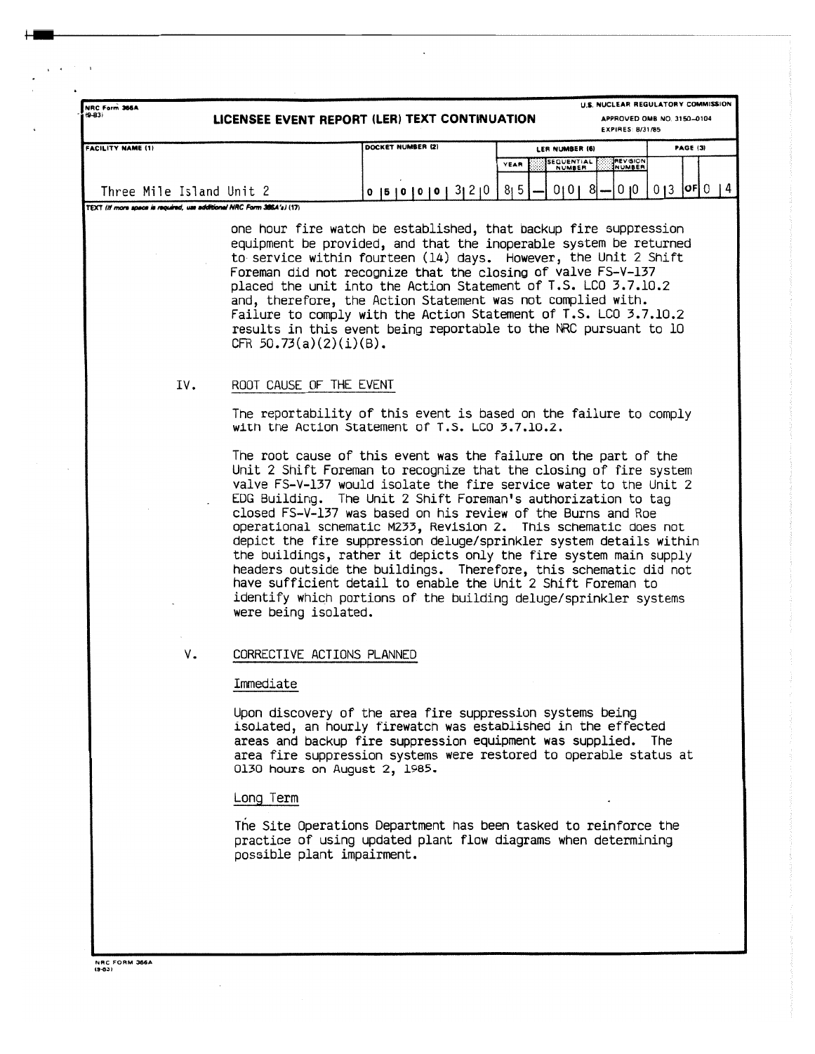| $(9-83)$                                                              |                          |  |                   |                      |  |  |  |                               |  |  | LICENSEE EVENT REPORT (LER) TEXT CONTINUATION                                                                                                                                                                                                                                                                                                                                                                                                                                                                                                                                                                                                                                                                                                                                                                       |                                   |  |  |                             |  | EXPIRES: 8/31/85          |  | APPROVED OMB NO. 3150-0104 |  |  |
|-----------------------------------------------------------------------|--------------------------|--|-------------------|----------------------|--|--|--|-------------------------------|--|--|---------------------------------------------------------------------------------------------------------------------------------------------------------------------------------------------------------------------------------------------------------------------------------------------------------------------------------------------------------------------------------------------------------------------------------------------------------------------------------------------------------------------------------------------------------------------------------------------------------------------------------------------------------------------------------------------------------------------------------------------------------------------------------------------------------------------|-----------------------------------|--|--|-----------------------------|--|---------------------------|--|----------------------------|--|--|
| <b>FACILITY NAME (1)</b>                                              |                          |  | DOCKET NUMBER (2) |                      |  |  |  |                               |  |  |                                                                                                                                                                                                                                                                                                                                                                                                                                                                                                                                                                                                                                                                                                                                                                                                                     | <b>PAGE (3)</b><br>LER NUMBER (6) |  |  |                             |  |                           |  |                            |  |  |
|                                                                       |                          |  |                   |                      |  |  |  |                               |  |  |                                                                                                                                                                                                                                                                                                                                                                                                                                                                                                                                                                                                                                                                                                                                                                                                                     | YEAR                              |  |  | SEQUENTIAL<br><b>NUMBER</b> |  | <b>REVISION</b><br>NUMBER |  |                            |  |  |
|                                                                       | Three Mile Island Unit 2 |  |                   |                      |  |  |  |                               |  |  | 0  5  0  0  0  3  2  0                                                                                                                                                                                                                                                                                                                                                                                                                                                                                                                                                                                                                                                                                                                                                                                              | 8 <sub>1</sub> 5                  |  |  | 01018                       |  | 0 <sub>10</sub>           |  | $013$   OF  $014$          |  |  |
| TEXT (If more space is required, use additional NRC Form 3864's) (17) |                          |  |                   |                      |  |  |  |                               |  |  |                                                                                                                                                                                                                                                                                                                                                                                                                                                                                                                                                                                                                                                                                                                                                                                                                     |                                   |  |  |                             |  |                           |  |                            |  |  |
|                                                                       |                          |  |                   |                      |  |  |  | CFR $50.73(a)(2)(i)(B)$ .     |  |  | one hour fire watch be established, that backup fire suppression<br>equipment be provided, and that the inoperable system be returned<br>to service within fourteen (14) days. However, the Unit 2 Shift<br>Foreman did not recognize that the closing of valve FS-V-137<br>placed the unit into the Action Statement of T.S. LCO 3.7.10.2<br>and, therefore, the Action Statement was not complied with.<br>Failure to comply with the Action Statement of T.S. LCO 3.7.10.2<br>results in this event being reportable to the NRC pursuant to 10                                                                                                                                                                                                                                                                   |                                   |  |  |                             |  |                           |  |                            |  |  |
|                                                                       | IV.                      |  |                   |                      |  |  |  | ROOT CAUSE OF THE EVENT       |  |  | The reportability of this event is based on the failure to comply                                                                                                                                                                                                                                                                                                                                                                                                                                                                                                                                                                                                                                                                                                                                                   |                                   |  |  |                             |  |                           |  |                            |  |  |
|                                                                       |                          |  |                   | were being isolated. |  |  |  |                               |  |  | with the Action Statement of T.S. LCO 3.7.10.2.<br>The root cause of this event was the failure on the part of the<br>Unit 2 Shift Foreman to recognize that the closing of fire system<br>valve FS-V-137 would isolate the fire service water to the Unit 2<br>EDG Building. The Unit 2 Shift Foreman's authorization to tag<br>closed FS-V-137 was based on his review of the Burns and Roe<br>operational schematic M233, Revision 2. This schematic does not<br>depict the fire suppression deluge/sprinkler system details within<br>the buildings, rather it depicts only the fire system main supply<br>headers outside the buildings. Therefore, this schematic did not<br>have sufficient detail to enable the Unit 2 Shift Foreman to<br>identify which portions of the building deluge/sprinkler systems |                                   |  |  |                             |  |                           |  |                            |  |  |
|                                                                       | ٧.                       |  |                   |                      |  |  |  | CORRECTIVE ACTIONS PLANNED    |  |  |                                                                                                                                                                                                                                                                                                                                                                                                                                                                                                                                                                                                                                                                                                                                                                                                                     |                                   |  |  |                             |  |                           |  |                            |  |  |
|                                                                       |                          |  |                   | Immediate            |  |  |  |                               |  |  |                                                                                                                                                                                                                                                                                                                                                                                                                                                                                                                                                                                                                                                                                                                                                                                                                     |                                   |  |  |                             |  |                           |  |                            |  |  |
|                                                                       |                          |  |                   |                      |  |  |  | 0130 hours on August 2, 1985. |  |  | Upon discovery of the area fire suppression systems being<br>isolated, an hourly firewatch was established in the effected<br>areas and backup fire suppression equipment was supplied. The<br>area fire suppression systems were restored to operable status at                                                                                                                                                                                                                                                                                                                                                                                                                                                                                                                                                    |                                   |  |  |                             |  |                           |  |                            |  |  |
|                                                                       |                          |  |                   | Long Term            |  |  |  |                               |  |  |                                                                                                                                                                                                                                                                                                                                                                                                                                                                                                                                                                                                                                                                                                                                                                                                                     |                                   |  |  |                             |  |                           |  |                            |  |  |
|                                                                       |                          |  |                   |                      |  |  |  | possible plant impairment.    |  |  | The Site Operations Department has been tasked to reinforce the<br>practice of using updated plant flow diagrams when determining                                                                                                                                                                                                                                                                                                                                                                                                                                                                                                                                                                                                                                                                                   |                                   |  |  |                             |  |                           |  |                            |  |  |
|                                                                       |                          |  |                   |                      |  |  |  |                               |  |  |                                                                                                                                                                                                                                                                                                                                                                                                                                                                                                                                                                                                                                                                                                                                                                                                                     |                                   |  |  |                             |  |                           |  |                            |  |  |

 $\hat{\mathcal{A}}$ 

 $\mathbf{v}^{(n+1)}$  , a

 $\bar{\beta}$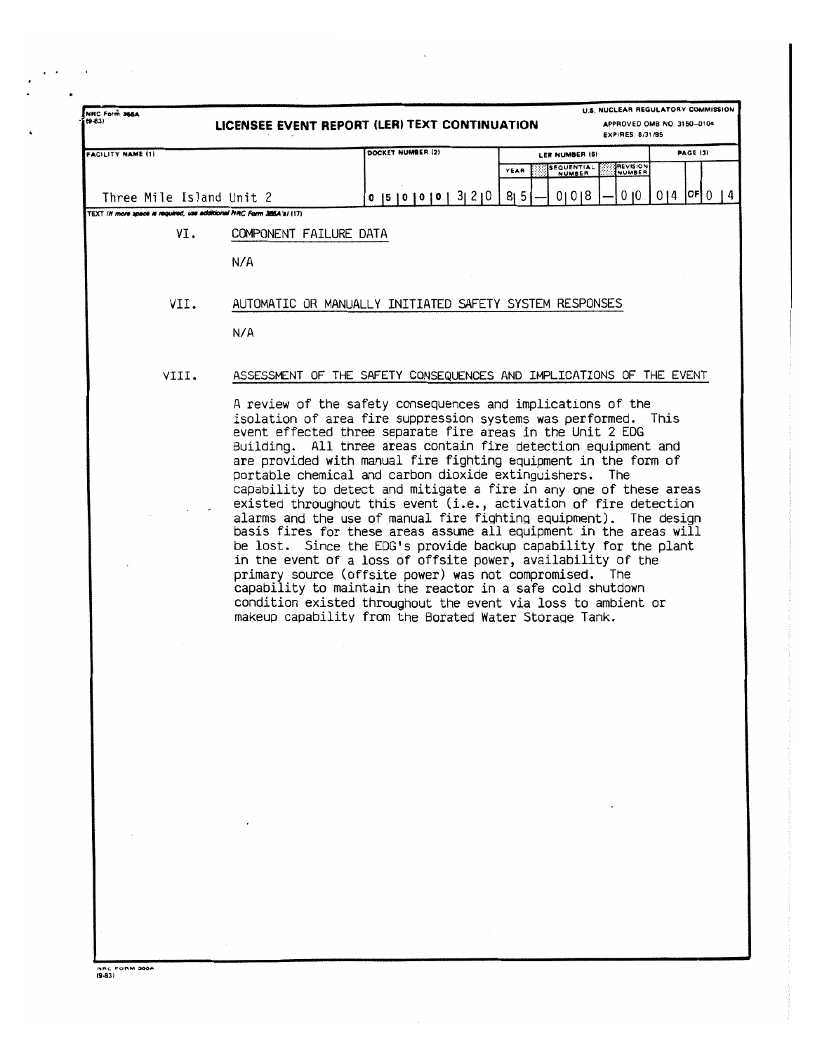| NRC Form 366A<br>$(9-83)$                                             |                        | LICENSEE EVENT REPORT (LER) TEXT CONTINUATION                                                                                                                                                                                                                                                                                                                                                                                                                                                                                                                                                                                                                                                                                                                                                                                                                                                                                                                                                                                                                             |                           | U.S. NUCLEAR REGULATORY COMMISSION<br>APPROVED OMB NO. 3150-0104<br><b>EXPIRES: 8/31/85</b> |                  |                 |  |  |  |  |
|-----------------------------------------------------------------------|------------------------|---------------------------------------------------------------------------------------------------------------------------------------------------------------------------------------------------------------------------------------------------------------------------------------------------------------------------------------------------------------------------------------------------------------------------------------------------------------------------------------------------------------------------------------------------------------------------------------------------------------------------------------------------------------------------------------------------------------------------------------------------------------------------------------------------------------------------------------------------------------------------------------------------------------------------------------------------------------------------------------------------------------------------------------------------------------------------|---------------------------|---------------------------------------------------------------------------------------------|------------------|-----------------|--|--|--|--|
| <b>FACILITY NAME (1)</b>                                              |                        | DOCKET NUMBER (2)                                                                                                                                                                                                                                                                                                                                                                                                                                                                                                                                                                                                                                                                                                                                                                                                                                                                                                                                                                                                                                                         | LER NUMBER (6)            |                                                                                             |                  | <b>PAGE (3)</b> |  |  |  |  |
|                                                                       |                        |                                                                                                                                                                                                                                                                                                                                                                                                                                                                                                                                                                                                                                                                                                                                                                                                                                                                                                                                                                                                                                                                           | SEQUENTIAL<br>YEAR        | REVISION<br><b>NUMBER</b>                                                                   |                  |                 |  |  |  |  |
| Three Mile Island Unit 2                                              |                        | 0 [5] 0 [0] 0 [3] 2] 0                                                                                                                                                                                                                                                                                                                                                                                                                                                                                                                                                                                                                                                                                                                                                                                                                                                                                                                                                                                                                                                    | 8 <sub>1</sub> 5<br>01018 | 0 <sub>10</sub>                                                                             | $014$  OF  $014$ |                 |  |  |  |  |
| TEXT (If more space is required, use additional NRC Form 386A's) (17) |                        |                                                                                                                                                                                                                                                                                                                                                                                                                                                                                                                                                                                                                                                                                                                                                                                                                                                                                                                                                                                                                                                                           |                           |                                                                                             |                  |                 |  |  |  |  |
| VI.                                                                   | COMPONENT FAILURE DATA |                                                                                                                                                                                                                                                                                                                                                                                                                                                                                                                                                                                                                                                                                                                                                                                                                                                                                                                                                                                                                                                                           |                           |                                                                                             |                  |                 |  |  |  |  |
|                                                                       | N/A                    |                                                                                                                                                                                                                                                                                                                                                                                                                                                                                                                                                                                                                                                                                                                                                                                                                                                                                                                                                                                                                                                                           |                           |                                                                                             |                  |                 |  |  |  |  |
| VII.                                                                  |                        | AUTOMATIC OR MANUALLY INITIATED SAFETY SYSTEM RESPONSES                                                                                                                                                                                                                                                                                                                                                                                                                                                                                                                                                                                                                                                                                                                                                                                                                                                                                                                                                                                                                   |                           |                                                                                             |                  |                 |  |  |  |  |
|                                                                       | N/A                    |                                                                                                                                                                                                                                                                                                                                                                                                                                                                                                                                                                                                                                                                                                                                                                                                                                                                                                                                                                                                                                                                           |                           |                                                                                             |                  |                 |  |  |  |  |
| VIII.                                                                 |                        | ASSESSMENT OF THE SAFETY CONSEQUENCES AND IMPLICATIONS OF THE EVENT                                                                                                                                                                                                                                                                                                                                                                                                                                                                                                                                                                                                                                                                                                                                                                                                                                                                                                                                                                                                       |                           |                                                                                             |                  |                 |  |  |  |  |
|                                                                       |                        | A review of the safety consequences and implications of the<br>isolation of area fire suppression systems was performed. This<br>event effected three separate fire areas in the Unit 2 EDG<br>Building. All three areas contain fire detection equipment and<br>are provided with manual fire fighting equipment in the form of<br>portable chemical and carbon dioxide extinguishers. The<br>capability to detect and mitigate a fire in any one of these areas<br>existed throughout this event (i.e., activation of fire detection<br>alarms and the use of manual fire fighting equipment). The design<br>basis fires for these areas assume all equipment in the areas will<br>be lost. Since the EDG's provide backup capability for the plant<br>in the event of a loss of offsite power, availability of the<br>primary source (offsite power) was not compromised. The<br>capability to maintain the reactor in a safe cold shutdown<br>condition existed throughout the event via loss to ambient or<br>makeup capability from the Borated Water Storage Tank. |                           |                                                                                             |                  |                 |  |  |  |  |
|                                                                       |                        |                                                                                                                                                                                                                                                                                                                                                                                                                                                                                                                                                                                                                                                                                                                                                                                                                                                                                                                                                                                                                                                                           |                           |                                                                                             |                  |                 |  |  |  |  |
|                                                                       |                        |                                                                                                                                                                                                                                                                                                                                                                                                                                                                                                                                                                                                                                                                                                                                                                                                                                                                                                                                                                                                                                                                           |                           |                                                                                             |                  |                 |  |  |  |  |
|                                                                       |                        |                                                                                                                                                                                                                                                                                                                                                                                                                                                                                                                                                                                                                                                                                                                                                                                                                                                                                                                                                                                                                                                                           |                           |                                                                                             |                  |                 |  |  |  |  |
|                                                                       |                        |                                                                                                                                                                                                                                                                                                                                                                                                                                                                                                                                                                                                                                                                                                                                                                                                                                                                                                                                                                                                                                                                           |                           |                                                                                             |                  |                 |  |  |  |  |
|                                                                       |                        |                                                                                                                                                                                                                                                                                                                                                                                                                                                                                                                                                                                                                                                                                                                                                                                                                                                                                                                                                                                                                                                                           |                           |                                                                                             |                  |                 |  |  |  |  |
|                                                                       |                        |                                                                                                                                                                                                                                                                                                                                                                                                                                                                                                                                                                                                                                                                                                                                                                                                                                                                                                                                                                                                                                                                           |                           |                                                                                             |                  |                 |  |  |  |  |
|                                                                       |                        |                                                                                                                                                                                                                                                                                                                                                                                                                                                                                                                                                                                                                                                                                                                                                                                                                                                                                                                                                                                                                                                                           |                           |                                                                                             |                  |                 |  |  |  |  |
|                                                                       |                        |                                                                                                                                                                                                                                                                                                                                                                                                                                                                                                                                                                                                                                                                                                                                                                                                                                                                                                                                                                                                                                                                           |                           |                                                                                             |                  |                 |  |  |  |  |
|                                                                       |                        |                                                                                                                                                                                                                                                                                                                                                                                                                                                                                                                                                                                                                                                                                                                                                                                                                                                                                                                                                                                                                                                                           |                           |                                                                                             |                  |                 |  |  |  |  |

 $\bullet$  , and  $\bullet$  , and  $\bullet$ 

 $\ddot{\phantom{0}}$